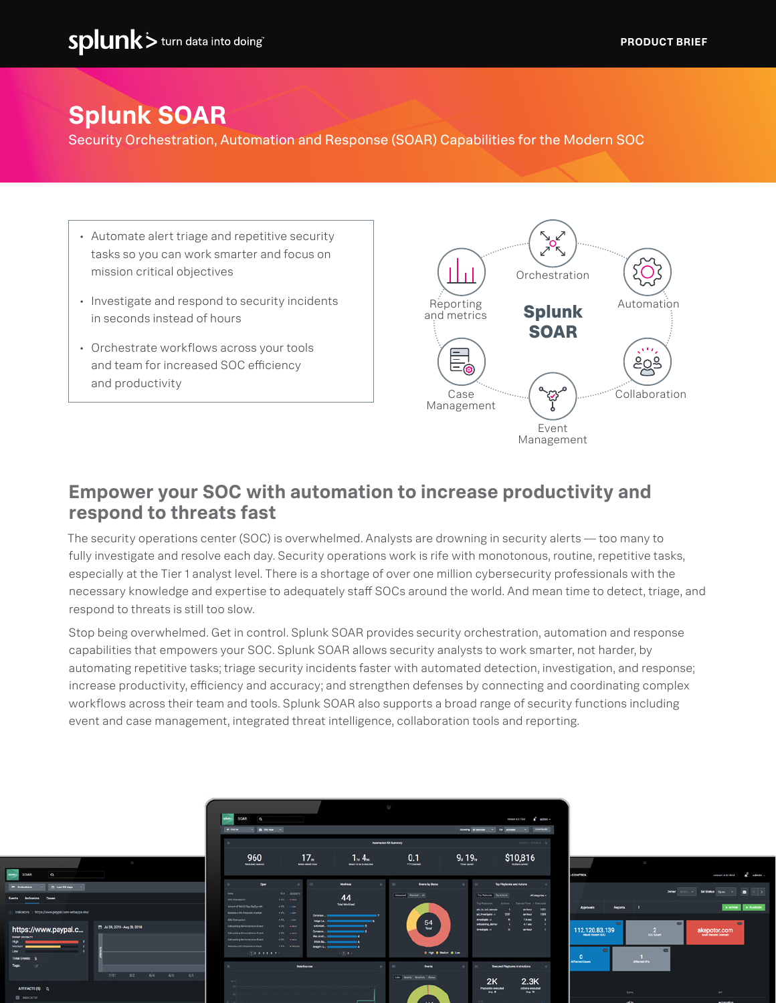# **Splunk SOAR**

Security Orchestration, Automation and Response (SOAR) Capabilities for the Modern SOC

- Automate alert triage and repetitive security tasks so you can work smarter and focus on mission critical objectives
- Investigate and respond to security incidents in seconds instead of hours
- Orchestrate workflows across your tools and team for increased SOC efficiency and productivity



#### **Empower your SOC with automation to increase productivity and respond to threats fast**

The security operations center (SOC) is overwhelmed. Analysts are drowning in security alerts — too many to fully investigate and resolve each day. Security operations work is rife with monotonous, routine, repetitive tasks, especially at the Tier 1 analyst level. There is a shortage of over one million cybersecurity professionals with the necessary knowledge and expertise to adequately staff SOCs around the world. And mean time to detect, triage, and respond to threats is still too slow.

Stop being overwhelmed. Get in control. Splunk SOAR provides security orchestration, automation and response capabilities that empowers your SOC. Splunk SOAR allows security analysts to work smarter, not harder, by automating repetitive tasks; triage security incidents faster with automated detection, investigation, and response; increase productivity, efficiency and accuracy; and strengthen defenses by connecting and coordinating complex workflows across their team and tools. Splunk SOAR also supports a broad range of security functions including event and case management, integrated threat intelligence, collaboration tools and reporting.